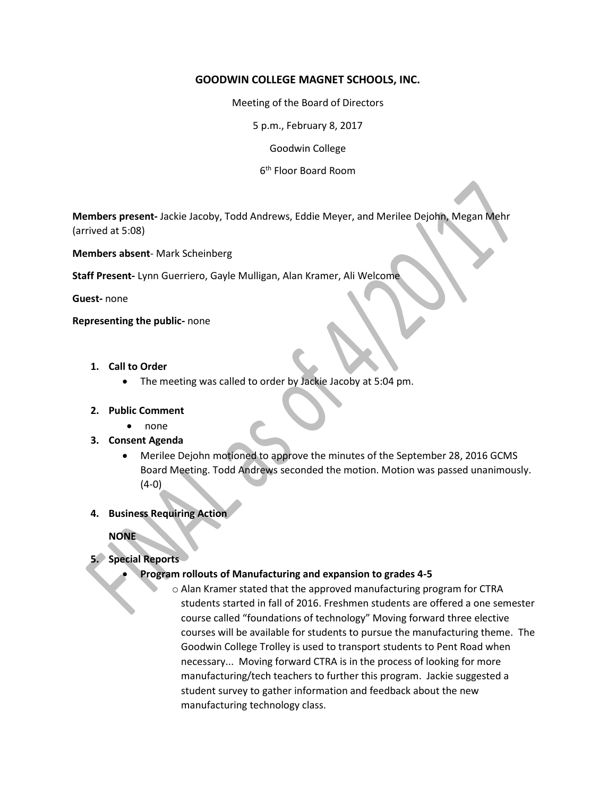## **GOODWIN COLLEGE MAGNET SCHOOLS, INC.**

Meeting of the Board of Directors

5 p.m., February 8, 2017

Goodwin College

6 th Floor Board Room

**Members present-** Jackie Jacoby, Todd Andrews, Eddie Meyer, and Merilee Dejohn, Megan Mehr (arrived at 5:08)

**Members absent**- Mark Scheinberg

**Staff Present-** Lynn Guerriero, Gayle Mulligan, Alan Kramer, Ali Welcome

**Guest-** none

**Representing the public-** none

- **1. Call to Order**
	- The meeting was called to order by Jackie Jacoby at 5:04 pm.

#### **2. Public Comment**

- none
- **3. Consent Agenda**
	- Merilee Dejohn motioned to approve the minutes of the September 28, 2016 GCMS Board Meeting. Todd Andrews seconded the motion. Motion was passed unanimously. (4-0)
- **4. Business Requiring Action**

**NONE** 

# **5. Special Reports**

### **Program rollouts of Manufacturing and expansion to grades 4-5**

o Alan Kramer stated that the approved manufacturing program for CTRA students started in fall of 2016. Freshmen students are offered a one semester course called "foundations of technology" Moving forward three elective courses will be available for students to pursue the manufacturing theme. The Goodwin College Trolley is used to transport students to Pent Road when necessary... Moving forward CTRA is in the process of looking for more manufacturing/tech teachers to further this program. Jackie suggested a student survey to gather information and feedback about the new manufacturing technology class.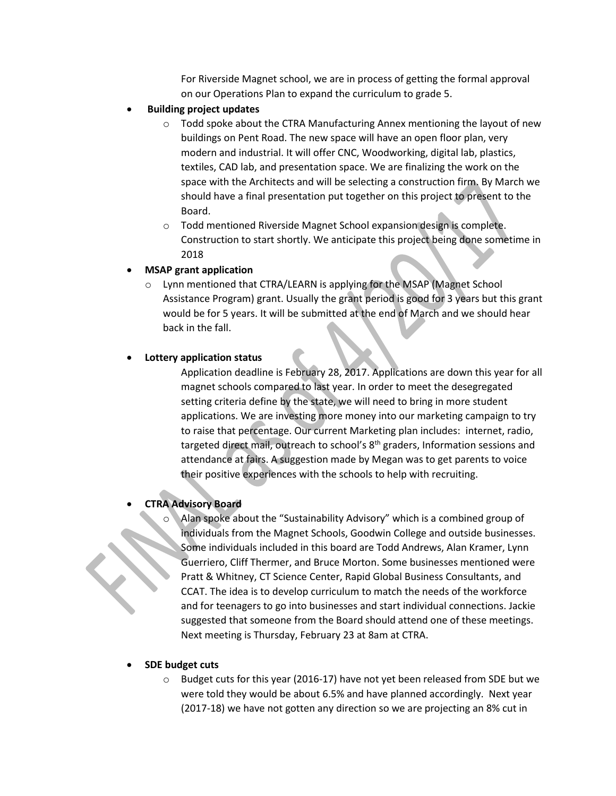For Riverside Magnet school, we are in process of getting the formal approval on our Operations Plan to expand the curriculum to grade 5.

- **Building project updates**
	- o Todd spoke about the CTRA Manufacturing Annex mentioning the layout of new buildings on Pent Road. The new space will have an open floor plan, very modern and industrial. It will offer CNC, Woodworking, digital lab, plastics, textiles, CAD lab, and presentation space. We are finalizing the work on the space with the Architects and will be selecting a construction firm. By March we should have a final presentation put together on this project to present to the Board.
	- o Todd mentioned Riverside Magnet School expansion design is complete. Construction to start shortly. We anticipate this project being done sometime in 2018

#### **MSAP grant application**

Lynn mentioned that CTRA/LEARN is applying for the MSAP (Magnet School Assistance Program) grant. Usually the grant period is good for 3 years but this grant would be for 5 years. It will be submitted at the end of March and we should hear back in the fall.

## **Lottery application status**

Application deadline is February 28, 2017. Applications are down this year for all magnet schools compared to last year. In order to meet the desegregated setting criteria define by the state, we will need to bring in more student applications. We are investing more money into our marketing campaign to try to raise that percentage. Our current Marketing plan includes: internet, radio, targeted direct mail, outreach to school's 8th graders, Information sessions and attendance at fairs. A suggestion made by Megan was to get parents to voice their positive experiences with the schools to help with recruiting.

# **CTRA Advisory Board**

Alan spoke about the "Sustainability Advisory" which is a combined group of individuals from the Magnet Schools, Goodwin College and outside businesses. Some individuals included in this board are Todd Andrews, Alan Kramer, Lynn Guerriero, Cliff Thermer, and Bruce Morton. Some businesses mentioned were Pratt & Whitney, CT Science Center, Rapid Global Business Consultants, and CCAT. The idea is to develop curriculum to match the needs of the workforce and for teenagers to go into businesses and start individual connections. Jackie suggested that someone from the Board should attend one of these meetings. Next meeting is Thursday, February 23 at 8am at CTRA.

# **SDE budget cuts**

o Budget cuts for this year (2016-17) have not yet been released from SDE but we were told they would be about 6.5% and have planned accordingly. Next year (2017-18) we have not gotten any direction so we are projecting an 8% cut in